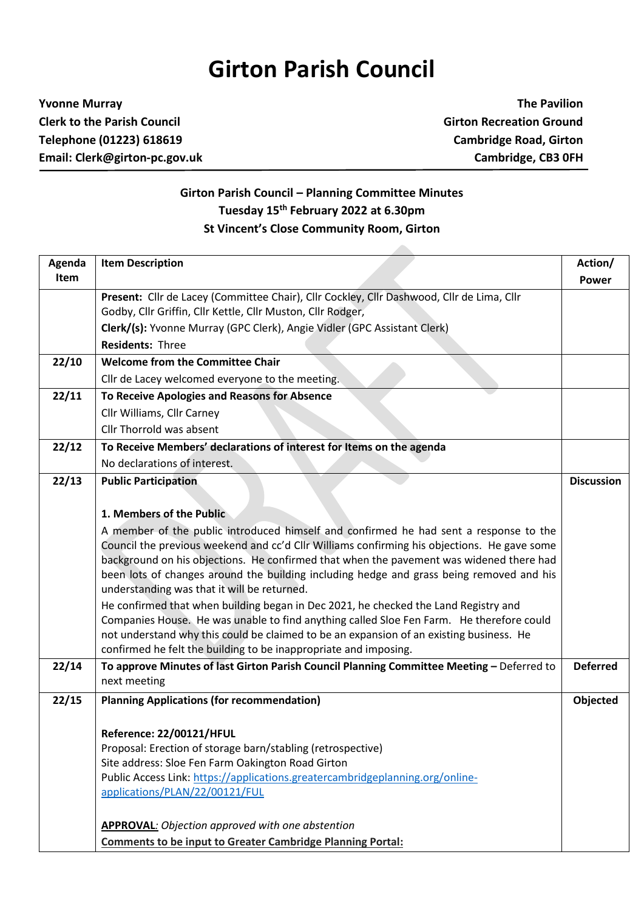## **Girton Parish Council**

## **Yvonne Murray The Pavilion Clerk to the Parish Council Girton Recreation Ground Telephone (01223) 618619 Cambridge Road, Girton Email: Clerk@girton-pc.gov.uk Cambridge, CB3 0FH**

## **Girton Parish Council – Planning Committee Minutes Tuesday 15 th February 2022 at 6.30pm St Vincent's Close Community Room, Girton**

| Agenda | <b>Item Description</b>                                                                                                                                                                                                                                                                                                                                                                       | Action/           |
|--------|-----------------------------------------------------------------------------------------------------------------------------------------------------------------------------------------------------------------------------------------------------------------------------------------------------------------------------------------------------------------------------------------------|-------------------|
| Item   |                                                                                                                                                                                                                                                                                                                                                                                               | <b>Power</b>      |
|        | Present: Cllr de Lacey (Committee Chair), Cllr Cockley, Cllr Dashwood, Cllr de Lima, Cllr                                                                                                                                                                                                                                                                                                     |                   |
|        | Godby, Cllr Griffin, Cllr Kettle, Cllr Muston, Cllr Rodger,                                                                                                                                                                                                                                                                                                                                   |                   |
|        | Clerk/(s): Yvonne Murray (GPC Clerk), Angie Vidler (GPC Assistant Clerk)                                                                                                                                                                                                                                                                                                                      |                   |
|        | <b>Residents: Three</b>                                                                                                                                                                                                                                                                                                                                                                       |                   |
| 22/10  | <b>Welcome from the Committee Chair</b>                                                                                                                                                                                                                                                                                                                                                       |                   |
|        | Cllr de Lacey welcomed everyone to the meeting.                                                                                                                                                                                                                                                                                                                                               |                   |
| 22/11  | To Receive Apologies and Reasons for Absence                                                                                                                                                                                                                                                                                                                                                  |                   |
|        | Cllr Williams, Cllr Carney                                                                                                                                                                                                                                                                                                                                                                    |                   |
|        | Cllr Thorrold was absent                                                                                                                                                                                                                                                                                                                                                                      |                   |
| 22/12  | To Receive Members' declarations of interest for Items on the agenda                                                                                                                                                                                                                                                                                                                          |                   |
|        | No declarations of interest.                                                                                                                                                                                                                                                                                                                                                                  |                   |
| 22/13  | <b>Public Participation</b>                                                                                                                                                                                                                                                                                                                                                                   | <b>Discussion</b> |
|        |                                                                                                                                                                                                                                                                                                                                                                                               |                   |
|        | 1. Members of the Public                                                                                                                                                                                                                                                                                                                                                                      |                   |
|        | A member of the public introduced himself and confirmed he had sent a response to the<br>Council the previous weekend and cc'd Cllr Williams confirming his objections. He gave some<br>background on his objections. He confirmed that when the pavement was widened there had<br>been lots of changes around the building including hedge and grass being removed and his                   |                   |
|        | understanding was that it will be returned.<br>He confirmed that when building began in Dec 2021, he checked the Land Registry and<br>Companies House. He was unable to find anything called Sloe Fen Farm. He therefore could<br>not understand why this could be claimed to be an expansion of an existing business. He<br>confirmed he felt the building to be inappropriate and imposing. |                   |
| 22/14  | To approve Minutes of last Girton Parish Council Planning Committee Meeting - Deferred to<br>next meeting                                                                                                                                                                                                                                                                                     | <b>Deferred</b>   |
| 22/15  | <b>Planning Applications (for recommendation)</b>                                                                                                                                                                                                                                                                                                                                             | Objected          |
|        |                                                                                                                                                                                                                                                                                                                                                                                               |                   |
|        | Reference: 22/00121/HFUL                                                                                                                                                                                                                                                                                                                                                                      |                   |
|        | Proposal: Erection of storage barn/stabling (retrospective)                                                                                                                                                                                                                                                                                                                                   |                   |
|        | Site address: Sloe Fen Farm Oakington Road Girton                                                                                                                                                                                                                                                                                                                                             |                   |
|        | Public Access Link: https://applications.greatercambridgeplanning.org/online-                                                                                                                                                                                                                                                                                                                 |                   |
|        | applications/PLAN/22/00121/FUL                                                                                                                                                                                                                                                                                                                                                                |                   |
|        | <b>APPROVAL:</b> Objection approved with one abstention                                                                                                                                                                                                                                                                                                                                       |                   |
|        | <b>Comments to be input to Greater Cambridge Planning Portal:</b>                                                                                                                                                                                                                                                                                                                             |                   |